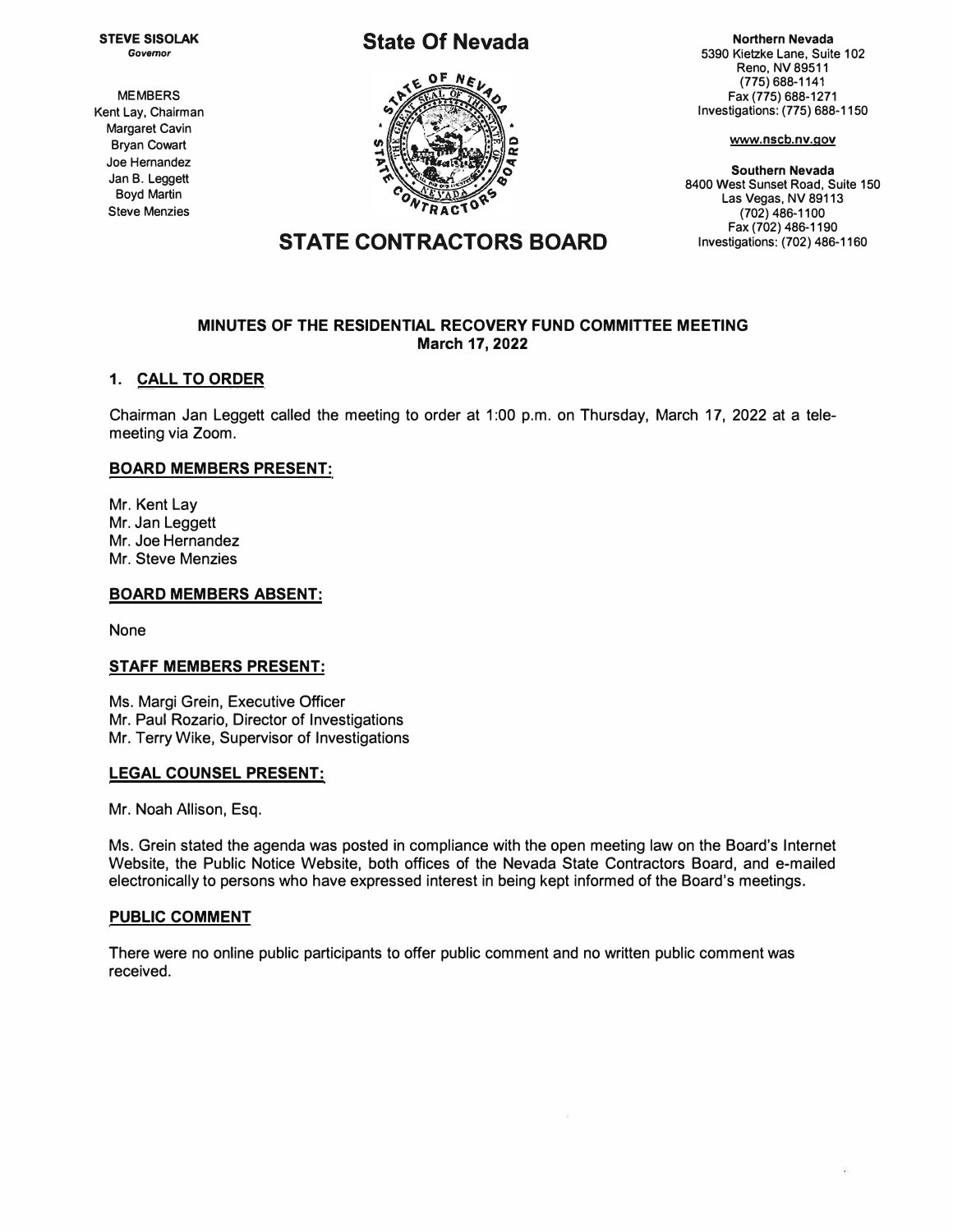**STEVE SISOLAK**  *Governor* 

**MEMBERS Kent Lay, Chairman Margaret Cavin Bryan Cowart Joe Hernandez Jan B. Leggett Boyd Martin Steve Menzies** 

## **State Of Nevada**



**Northern Nevada 5390 Kietzke Lane, Suite 102 Reno, NV 89511 (775) 688-1141 Fax (775) 688-1271 Investigations: (775) 688-1150** 

**www.nscb.nv.gov** 

**Southern Nevada 8400 West Sunset Road, Suite 150 Las Vegas, NV 89113 (702) 486-1100 Fax(702)486-1190 Investigations: (702) 486-1160** 

# **STATE CONTRACTORS BOARD**

### **MINUTES OF THE RESIDENTIAL RECOVERY FUND COMMITTEE MEETING March 17, 2022**

### **1. CALL TO ORDER**

Chairman Jan Leggett called the meeting to order at 1 :00 p.m. on Thursday, March 17, 2022 at a telemeeting via Zoom.

### **BOARD MEMBERS PRESENT:**

Mr. Kent Lay Mr. Jan Leggett Mr. Joe Hernandez Mr. Steve Menzies

### **BOARD MEMBERS ABSENT:**

None

### **STAFF MEMBERS PRESENT:**

Ms. Margi Grein, Executive Officer Mr. Paul Rozario, Director of Investigations Mr. Terry Wike, Supervisor of Investigations

### **LEGAL COUNSEL PRESENT:**

Mr. Noah Allison, Esq.

Ms. Grein stated the agenda was posted in compliance with the open meeting law on the Board's Internet Website, the Public Notice Website, both offices of the Nevada State Contractors Board, and e-mailed electronically to persons who have expressed interest in being kept informed of the Board's meetings.

### **PUBLIC COMMENT**

There were no online public participants to offer public comment and no written public comment was received.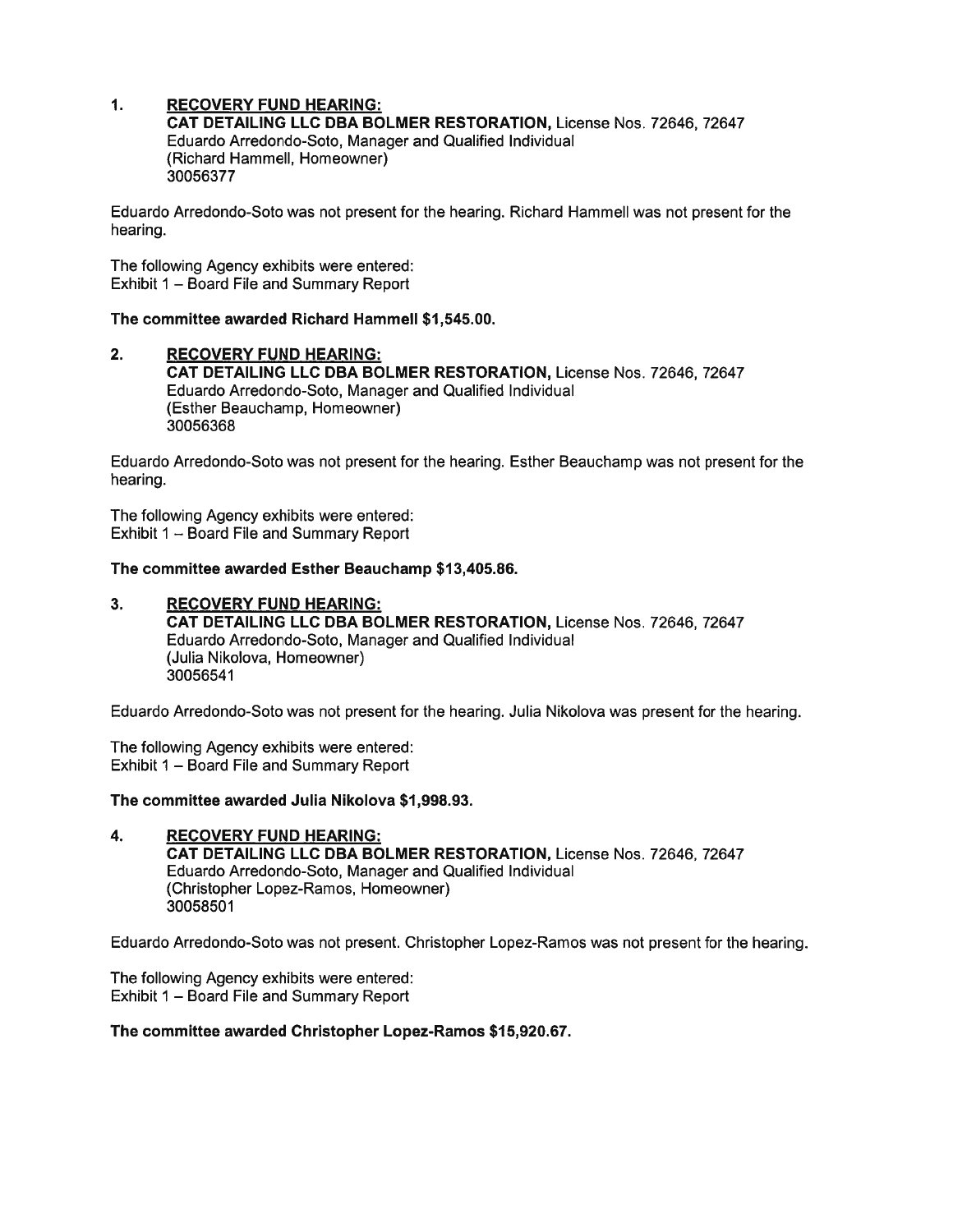#### $\mathbf{1}$ . **RECOVERY FUND HEARING:**

CAT DETAILING LLC DBA BOLMER RESTORATION. License Nos. 72646. 72647 Eduardo Arredondo-Soto, Manager and Qualified Individual (Richard Hammell, Homeowner) 30056377

Eduardo Arredondo-Soto was not present for the hearing. Richard Hammell was not present for the hearing.

The following Agency exhibits were entered: Exhibit 1 - Board File and Summary Report

### The committee awarded Richard Hammell \$1,545.00.

**RECOVERY FUND HEARING:**  $2.$ CAT DETAILING LLC DBA BOLMER RESTORATION, License Nos. 72646, 72647 Eduardo Arredondo-Soto, Manager and Qualified Individual (Esther Beauchamp, Homeowner) 30056368

Eduardo Arredondo-Soto was not present for the hearing. Esther Beauchamp was not present for the hearing.

The following Agency exhibits were entered: Exhibit 1 - Board File and Summary Report

### The committee awarded Esther Beauchamp \$13,405.86.

 $3<sub>1</sub>$ **RECOVERY FUND HEARING:** CAT DETAILING LLC DBA BOLMER RESTORATION, License Nos. 72646, 72647 Eduardo Arredondo-Soto, Manager and Qualified Individual (Julia Nikolova, Homeowner) 30056541

Eduardo Arredondo-Soto was not present for the hearing. Julia Nikolova was present for the hearing.

The following Agency exhibits were entered: Exhibit 1 - Board File and Summary Report

### The committee awarded Julia Nikolova \$1,998.93.

4. **RECOVERY FUND HEARING:** CAT DETAILING LLC DBA BOLMER RESTORATION, License Nos. 72646, 72647 Eduardo Arredondo-Soto, Manager and Qualified Individual (Christopher Lopez-Ramos, Homeowner) 30058501

Eduardo Arredondo-Soto was not present. Christopher Lopez-Ramos was not present for the hearing.

The following Agency exhibits were entered: Exhibit 1 - Board File and Summary Report

### The committee awarded Christopher Lopez-Ramos \$15,920.67.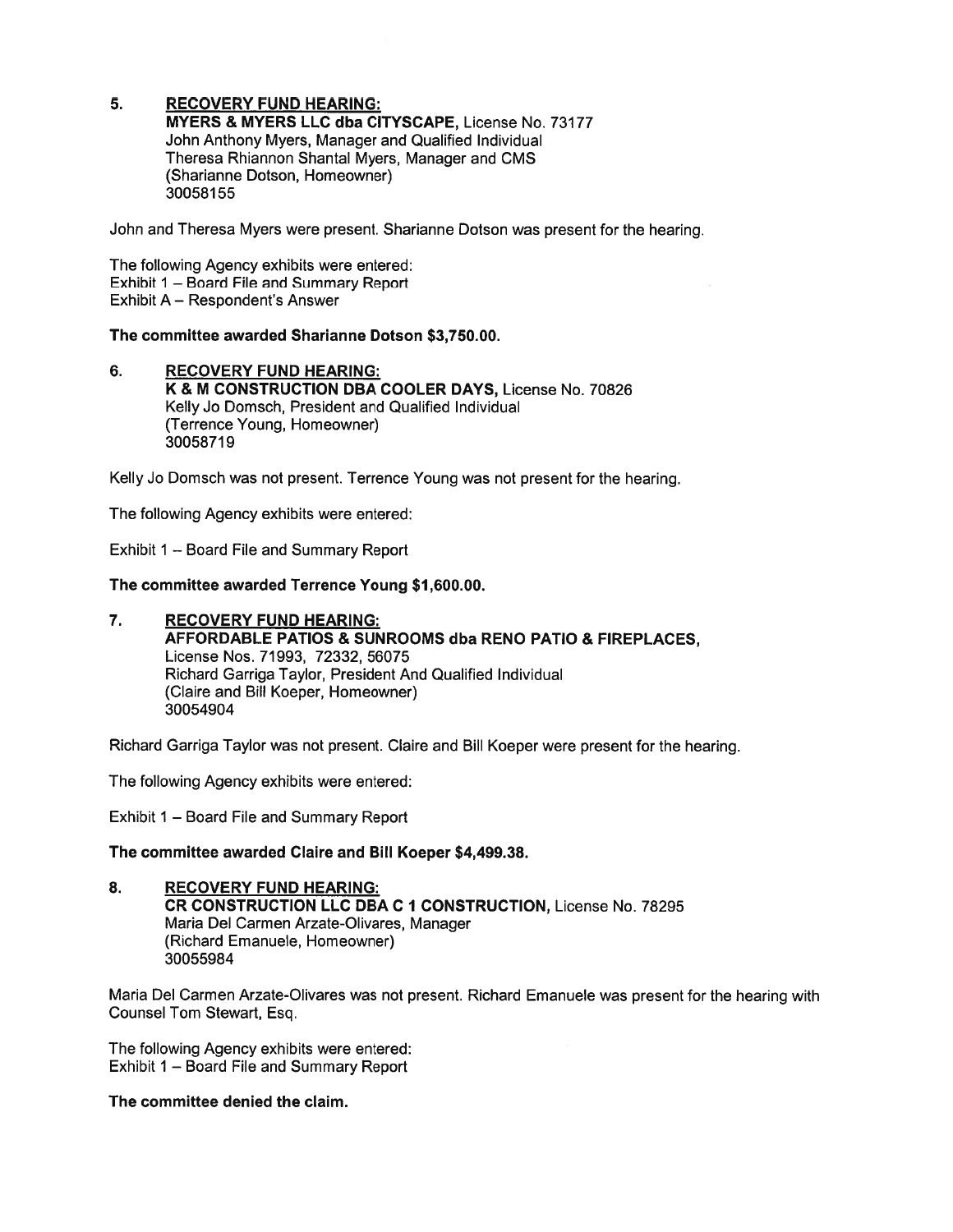#### 5. **RECOVERY FUND HEARING:**

MYERS & MYERS LLC dba CITYSCAPE, License No. 73177 John Anthony Myers, Manager and Qualified Individual Theresa Rhiannon Shantal Myers, Manager and CMS (Sharianne Dotson, Homeowner) 30058155

John and Theresa Myers were present. Sharianne Dotson was present for the hearing.

The following Agency exhibits were entered: Exhibit 1 - Board File and Summary Report Exhibit A - Respondent's Answer

### The committee awarded Sharianne Dotson \$3,750.00.

6. **RECOVERY FUND HEARING:** K & M CONSTRUCTION DBA COOLER DAYS, License No. 70826 Kelly Jo Domsch, President and Qualified Individual (Terrence Young, Homeowner) 30058719

Kelly Jo Domsch was not present. Terrence Young was not present for the hearing.

The following Agency exhibits were entered:

Exhibit 1 - Board File and Summary Report

The committee awarded Terrence Young \$1,600.00.

 $\overline{7}$ . **RECOVERY FUND HEARING: AFFORDABLE PATIOS & SUNROOMS dba RENO PATIO & FIREPLACES,** License Nos. 71993, 72332, 56075 Richard Garriga Taylor, President And Qualified Individual (Claire and Bill Koeper, Homeowner) 30054904

Richard Garriga Taylor was not present. Claire and Bill Koeper were present for the hearing.

The following Agency exhibits were entered:

Exhibit 1 - Board File and Summary Report

The committee awarded Claire and Bill Koeper \$4,499.38.

8. **RECOVERY FUND HEARING:** CR CONSTRUCTION LLC DBA C 1 CONSTRUCTION, License No. 78295 Maria Del Carmen Arzate-Olivares, Manager (Richard Emanuele, Homeowner) 30055984

Maria Del Carmen Arzate-Olivares was not present. Richard Emanuele was present for the hearing with Counsel Tom Stewart, Esq.

The following Agency exhibits were entered: Exhibit 1 - Board File and Summary Report

The committee denied the claim.